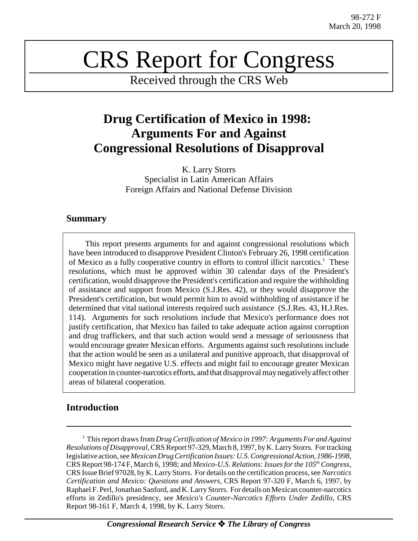# CRS Report for Congress

Received through the CRS Web

## **Drug Certification of Mexico in 1998: Arguments For and Against Congressional Resolutions of Disapproval**

K. Larry Storrs Specialist in Latin American Affairs Foreign Affairs and National Defense Division

### **Summary**

This report presents arguments for and against congressional resolutions which have been introduced to disapprove President Clinton's February 26, 1998 certification of Mexico as a fully cooperative country in efforts to control illicit narcotics.<sup>1</sup> These resolutions, which must be approved within 30 calendar days of the President's certification, would disapprove the President's certification and require the withholding of assistance and support from Mexico (S.J.Res. 42), or they would disapprove the President's certification, but would permit him to avoid withholding of assistance if he determined that vital national interests required such assistance (S.J.Res. 43, H.J.Res. 114). Arguments for such resolutions include that Mexico's performance does not justify certification, that Mexico has failed to take adequate action against corruption and drug traffickers, and that such action would send a message of seriousness that would encourage greater Mexican efforts. Arguments against such resolutions include that the action would be seen as a unilateral and punitive approach, that disapproval of Mexico might have negative U.S. effects and might fail to encourage greater Mexican cooperation in counter-narcotics efforts, and that disapproval may negatively affect other areas of bilateral cooperation.

## **Introduction**

<sup>1</sup> This report draws from *Drug Certification of Mexico in 1997: Arguments For and Against Resolutions of Disapproval*, CRS Report 97-329, March 8, 1997, by K. Larry Storrs. For tracking legislative action, see *Mexican Drug Certification Issues: U.S. Congressional Action, 1986-1998,* CRS Report 98-174 F, March 6, 1998; and *Mexico-U.S. Relations: Issues for the 105th Congress*, CRS Issue Brief 97028, by K. Larry Storrs. For details on the certification process, see *Narcotics Certification and Mexico: Questions and Answers*, CRS Report 97-320 F, March 6, 1997, by Raphael F. Perl, Jonathan Sanford, and K. Larry Storrs. For details on Mexican counter-narcotics efforts in Zedillo's presidency, see *Mexico's Counter-Narcotics Efforts Under Zedillo,* CRS Report 98-161 F, March 4, 1998, by K. Larry Storrs.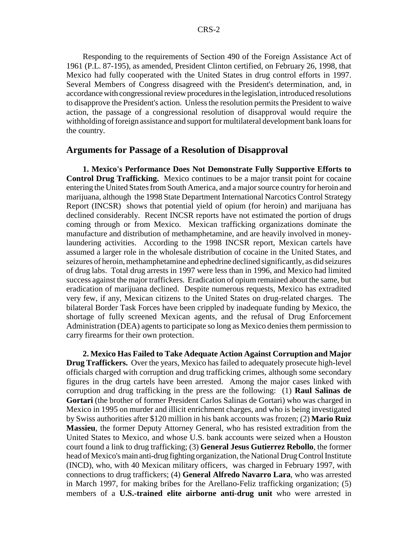Responding to the requirements of Section 490 of the Foreign Assistance Act of 1961 (P.L. 87-195), as amended, President Clinton certified, on February 26, 1998, that Mexico had fully cooperated with the United States in drug control efforts in 1997. Several Members of Congress disagreed with the President's determination, and, in accordance with congressional review procedures in the legislation, introduced resolutions to disapprove the President's action. Unless the resolution permits the President to waive action, the passage of a congressional resolution of disapproval would require the withholding of foreign assistance and support for multilateral development bank loans for the country.

#### **Arguments for Passage of a Resolution of Disapproval**

**1. Mexico's Performance Does Not Demonstrate Fully Supportive Efforts to Control Drug Trafficking.** Mexico continues to be a major transit point for cocaine entering the United States from South America, and a major source country for heroin and marijuana, although the 1998 State Department International Narcotics Control Strategy Report (INCSR) shows that potential yield of opium (for heroin) and marijuana has declined considerably. Recent INCSR reports have not estimated the portion of drugs coming through or from Mexico. Mexican trafficking organizations dominate the manufacture and distribution of methamphetamine, and are heavily involved in moneylaundering activities. According to the 1998 INCSR report, Mexican cartels have assumed a larger role in the wholesale distribution of cocaine in the United States, and seizures of heroin, methamphetamine and ephedrine declined significantly, as did seizures of drug labs. Total drug arrests in 1997 were less than in 1996, and Mexico had limited success against the major traffickers. Eradication of opium remained about the same, but eradication of marijuana declined. Despite numerous requests, Mexico has extradited very few, if any, Mexican citizens to the United States on drug-related charges. The bilateral Border Task Forces have been crippled by inadequate funding by Mexico, the shortage of fully screened Mexican agents, and the refusal of Drug Enforcement Administration (DEA) agents to participate so long as Mexico denies them permission to carry firearms for their own protection.

**2. Mexico Has Failed to Take Adequate Action Against Corruption and Major Drug Traffickers.** Over the years, Mexico has failed to adequately prosecute high-level officials charged with corruption and drug trafficking crimes, although some secondary figures in the drug cartels have been arrested. Among the major cases linked with corruption and drug trafficking in the press are the following: (1) **Raul Salinas de Gortari** (the brother of former President Carlos Salinas de Gortari) who was charged in Mexico in 1995 on murder and illicit enrichment charges, and who is being investigated by Swiss authorities after \$120 million in his bank accounts was frozen; (2) **Mario Ruiz Massieu**, the former Deputy Attorney General, who has resisted extradition from the United States to Mexico, and whose U.S. bank accounts were seized when a Houston court found a link to drug trafficking; (3) **General Jesus Gutierrez Rebollo**, the former head of Mexico's main anti-drug fighting organization, the National Drug Control Institute (INCD), who, with 40 Mexican military officers, was charged in February 1997, with connections to drug traffickers; (4) **General Alfredo Navarro Lara**, who was arrested in March 1997, for making bribes for the Arellano-Feliz trafficking organization; (5) members of a **U.S.-trained elite airborne anti-drug unit** who were arrested in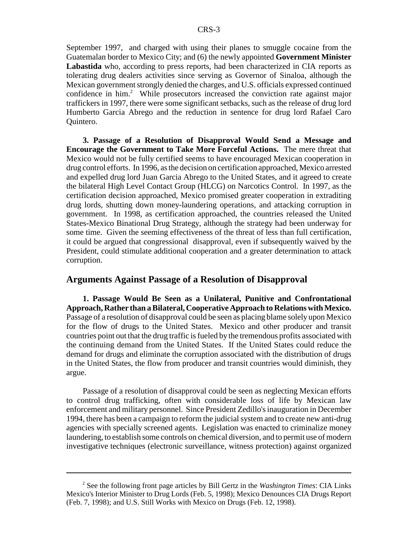September 1997, and charged with using their planes to smuggle cocaine from the Guatemalan border to Mexico City; and (6) the newly appointed **Government Minister Labastida** who, according to press reports, had been characterized in CIA reports as tolerating drug dealers activities since serving as Governor of Sinaloa, although the Mexican government strongly denied the charges, and U.S. officials expressed continued confidence in him.<sup>2</sup> While prosecutors increased the conviction rate against major traffickers in 1997, there were some significant setbacks, such as the release of drug lord Humberto Garcia Abrego and the reduction in sentence for drug lord Rafael Caro Quintero.

**3. Passage of a Resolution of Disapproval Would Send a Message and Encourage the Government to Take More Forceful Actions.** The mere threat that Mexico would not be fully certified seems to have encouraged Mexican cooperation in drug control efforts. In 1996, as the decision on certification approached, Mexico arrested and expelled drug lord Juan Garcia Abrego to the United States, and it agreed to create the bilateral High Level Contact Group (HLCG) on Narcotics Control. In 1997, as the certification decision approached, Mexico promised greater cooperation in extraditing drug lords, shutting down money-laundering operations, and attacking corruption in government. In 1998, as certification approached, the countries released the United States-Mexico Binational Drug Strategy, although the strategy had been underway for some time. Given the seeming effectiveness of the threat of less than full certification, it could be argued that congressional disapproval, even if subsequently waived by the President, could stimulate additional cooperation and a greater determination to attack corruption.

#### **Arguments Against Passage of a Resolution of Disapproval**

**1. Passage Would Be Seen as a Unilateral, Punitive and Confrontational Approach, Rather than a Bilateral, Cooperative Approach to Relations with Mexico.** Passage of a resolution of disapproval could be seen as placing blame solely upon Mexico for the flow of drugs to the United States. Mexico and other producer and transit countries point out that the drug traffic is fueled by the tremendous profits associated with the continuing demand from the United States. If the United States could reduce the demand for drugs and eliminate the corruption associated with the distribution of drugs in the United States, the flow from producer and transit countries would diminish, they argue.

Passage of a resolution of disapproval could be seen as neglecting Mexican efforts to control drug trafficking, often with considerable loss of life by Mexican law enforcement and military personnel. Since President Zedillo's inauguration in December 1994, there has been a campaign to reform the judicial system and to create new anti-drug agencies with specially screened agents. Legislation was enacted to criminalize money laundering, to establish some controls on chemical diversion, and to permit use of modern investigative techniques (electronic surveillance, witness protection) against organized

<sup>2</sup> See the following front page articles by Bill Gertz in the *Washington Times*: CIA Links Mexico's Interior Minister to Drug Lords (Feb. 5, 1998); Mexico Denounces CIA Drugs Report (Feb. 7, 1998); and U.S. Still Works with Mexico on Drugs (Feb. 12, 1998).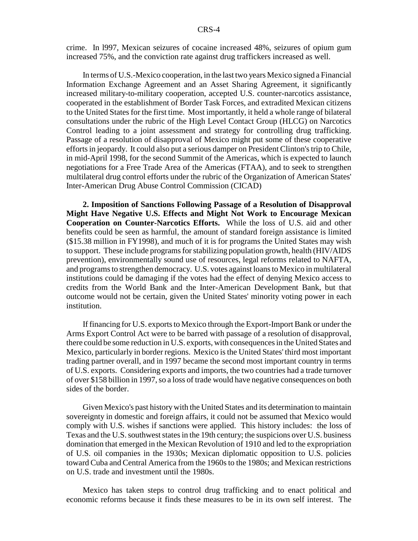crime. In l997, Mexican seizures of cocaine increased 48%, seizures of opium gum increased 75%, and the conviction rate against drug traffickers increased as well.

In terms of U.S.-Mexico cooperation, in the last two years Mexico signed a Financial Information Exchange Agreement and an Asset Sharing Agreement, it significantly increased military-to-military cooperation, accepted U.S. counter-narcotics assistance, cooperated in the establishment of Border Task Forces, and extradited Mexican citizens to the United States for the first time. Most importantly, it held a whole range of bilateral consultations under the rubric of the High Level Contact Group (HLCG) on Narcotics Control leading to a joint assessment and strategy for controlling drug trafficking. Passage of a resolution of disapproval of Mexico might put some of these cooperative efforts in jeopardy. It could also put a serious damper on President Clinton's trip to Chile, in mid-April 1998, for the second Summit of the Americas, which is expected to launch negotiations for a Free Trade Area of the Americas (FTAA), and to seek to strengthen multilateral drug control efforts under the rubric of the Organization of American States' Inter-American Drug Abuse Control Commission (CICAD)

**2. Imposition of Sanctions Following Passage of a Resolution of Disapproval Might Have Negative U.S. Effects and Might Not Work to Encourage Mexican Cooperation on Counter-Narcotics Efforts.** While the loss of U.S. aid and other benefits could be seen as harmful, the amount of standard foreign assistance is limited (\$15.38 million in FY1998), and much of it is for programs the United States may wish to support. These include programs for stabilizing population growth, health (HIV/AIDS prevention), environmentally sound use of resources, legal reforms related to NAFTA, and programs to strengthen democracy. U.S. votes against loans to Mexico in multilateral institutions could be damaging if the votes had the effect of denying Mexico access to credits from the World Bank and the Inter-American Development Bank, but that outcome would not be certain, given the United States' minority voting power in each institution.

If financing for U.S. exports to Mexico through the Export-Import Bank or under the Arms Export Control Act were to be barred with passage of a resolution of disapproval, there could be some reduction in U.S. exports, with consequences in the United States and Mexico, particularly in border regions. Mexico is the United States' third most important trading partner overall, and in 1997 became the second most important country in terms of U.S. exports. Considering exports and imports, the two countries had a trade turnover of over \$158 billion in 1997, so a loss of trade would have negative consequences on both sides of the border.

Given Mexico's past history with the United States and its determination to maintain sovereignty in domestic and foreign affairs, it could not be assumed that Mexico would comply with U.S. wishes if sanctions were applied. This history includes: the loss of Texas and the U.S. southwest states in the 19th century; the suspicions over U.S. business domination that emerged in the Mexican Revolution of 1910 and led to the expropriation of U.S. oil companies in the 1930s; Mexican diplomatic opposition to U.S. policies toward Cuba and Central America from the 1960s to the 1980s; and Mexican restrictions on U.S. trade and investment until the 1980s.

Mexico has taken steps to control drug trafficking and to enact political and economic reforms because it finds these measures to be in its own self interest. The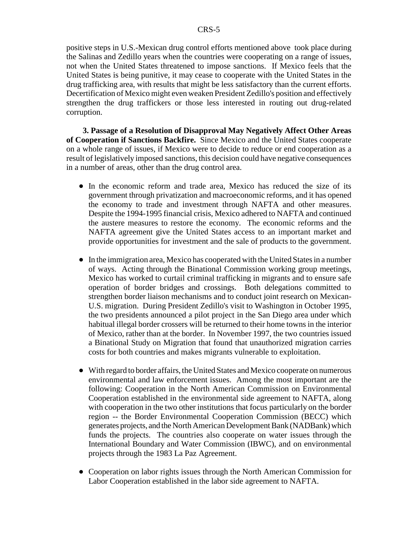positive steps in U.S.-Mexican drug control efforts mentioned above took place during the Salinas and Zedillo years when the countries were cooperating on a range of issues, not when the United States threatened to impose sanctions. If Mexico feels that the United States is being punitive, it may cease to cooperate with the United States in the drug trafficking area, with results that might be less satisfactory than the current efforts. Decertification of Mexico might even weaken President Zedillo's position and effectively strengthen the drug traffickers or those less interested in routing out drug-related corruption.

**3. Passage of a Resolution of Disapproval May Negatively Affect Other Areas of Cooperation if Sanctions Backfire.** Since Mexico and the United States cooperate on a whole range of issues, if Mexico were to decide to reduce or end cooperation as a result of legislatively imposed sanctions, this decision could have negative consequences in a number of areas, other than the drug control area.

- In the economic reform and trade area, Mexico has reduced the size of its government through privatization and macroeconomic reforms, and it has opened the economy to trade and investment through NAFTA and other measures. Despite the 1994-1995 financial crisis, Mexico adhered to NAFTA and continued the austere measures to restore the economy. The economic reforms and the NAFTA agreement give the United States access to an important market and provide opportunities for investment and the sale of products to the government.
- ! In the immigration area, Mexico has cooperated with the United States in a number of ways. Acting through the Binational Commission working group meetings, Mexico has worked to curtail criminal trafficking in migrants and to ensure safe operation of border bridges and crossings. Both delegations committed to strengthen border liaison mechanisms and to conduct joint research on Mexican-U.S. migration. During President Zedillo's visit to Washington in October 1995, the two presidents announced a pilot project in the San Diego area under which habitual illegal border crossers will be returned to their home towns in the interior of Mexico, rather than at the border. In November 1997, the two countries issued a Binational Study on Migration that found that unauthorized migration carries costs for both countries and makes migrants vulnerable to exploitation.
- ! With regard to border affairs, the United States and Mexico cooperate on numerous environmental and law enforcement issues. Among the most important are the following: Cooperation in the North American Commission on Environmental Cooperation established in the environmental side agreement to NAFTA, along with cooperation in the two other institutions that focus particularly on the border region -- the Border Environmental Cooperation Commission (BECC) which generates projects, and the North American Development Bank (NADBank) which funds the projects. The countries also cooperate on water issues through the International Boundary and Water Commission (IBWC), and on environmental projects through the 1983 La Paz Agreement.
- Cooperation on labor rights issues through the North American Commission for Labor Cooperation established in the labor side agreement to NAFTA.